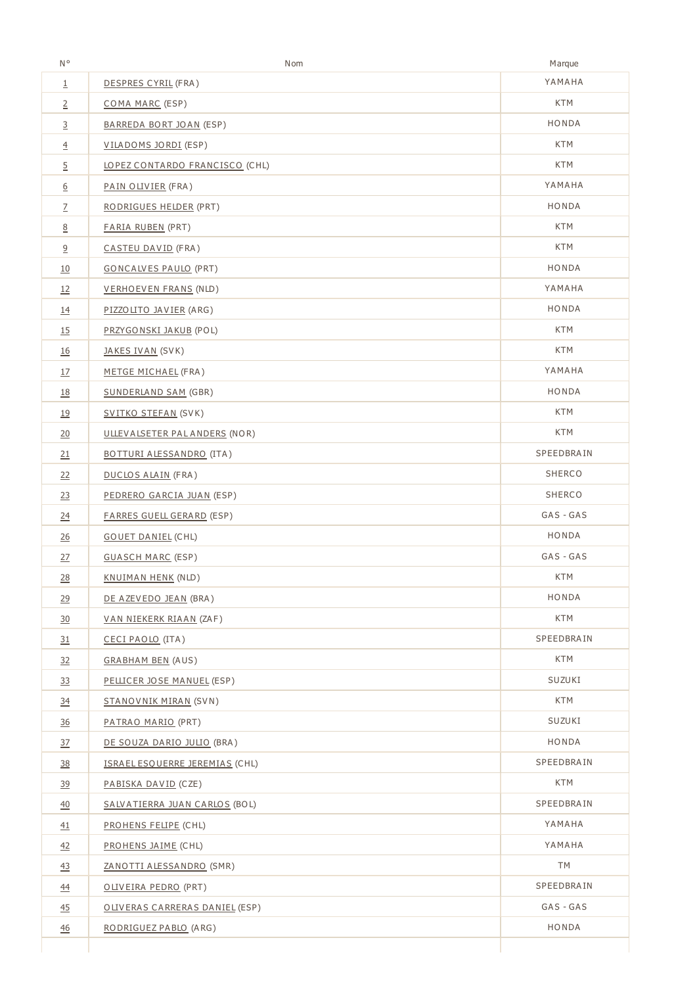| N۰               | Nom                              | Marque     |
|------------------|----------------------------------|------------|
| $\overline{1}$   | DESPRES CYRIL (FRA)              | YAMAHA     |
|                  | COMA MARC (ESP)                  | <b>KTM</b> |
| $\overline{3}$   | BARREDA BORT JOAN (ESP)          | HONDA      |
| $\overline{4}$   | VILADOMS JORDI (ESP)             | <b>KTM</b> |
| $\overline{5}$   | LOPEZ CONTARDO FRANCISCO (CHL)   | <b>KTM</b> |
| $6\overline{6}$  | PAIN OLIVIER (FRA)               | YAMAHA     |
| $\overline{2}$   | RODRIGUES HELDER (PRT)           | HONDA      |
| 8                | <b>FARIA RUBEN (PRT)</b>         | <b>KTM</b> |
| $\overline{6}$   | CASTEU DAVID (FRA)               | <b>KTM</b> |
| <u>10</u>        | <b>GONCALVES PAULO (PRT)</b>     | HONDA      |
| 12               | VERHOEVEN FRANS (NLD)            | YAMAHA     |
| <u>14</u>        | PIZZOLITO JAVIER (ARG)           | HONDA      |
| <u>15</u>        | PRZYGONSKI JAKUB (POL)           | KTM        |
| <u>16</u>        | JAKES IVAN (SVK)                 | <b>KTM</b> |
| 17               | METGE MICHAEL (FRA)              | YAMAHA     |
| <u>18</u>        | SUNDERLAND SAM (GBR)             | HONDA      |
| <u>19</u>        | SVITKO STEFAN (SVK)              | <b>KTM</b> |
| 20               | ULLEVALSETER PAL ANDERS (NOR)    | KTM        |
| 21               | BOTTURI ALESSANDRO (ITA)         | SPEEDBRAIN |
| 22               | <b>DUCLOS ALAIN (FRA)</b>        | SHERCO     |
| 23               | PEDRERO GARCIA JUAN (ESP)        | SHERCO     |
| $\overline{24}$  | <b>FARRES GUELL GERARD (ESP)</b> | GAS - GAS  |
| 26               | <b>GOUET DANIEL (CHL)</b>        | HONDA      |
| 27               | <b>GUASCH MARC (ESP)</b>         | GAS - GAS  |
| 28               | <b>KNUIMAN HENK (NLD)</b>        | <b>KTM</b> |
| 29               | DE AZEVEDO JEAN (BRA)            | HONDA      |
| 30               | <u>VAN NIEKERK RIAAN</u> (ZAF)   | <b>KTM</b> |
| 31               | CECI PAOLO (ITA)                 | SPEEDBRAIN |
| 32               | <b>GRABHAM BEN (AUS)</b>         | KTM        |
| 33               | PELLICER JOSE MANUEL (ESP)       | SUZUKI     |
| 34               | STANOVNIK MIRAN (SVN)            | <b>KTM</b> |
| $\frac{36}{5}$   | PATRAO MARIO (PRT)               | SUZUKI     |
| $\frac{37}{2}$   | DE SOUZA DARIO JULIO (BRA)       | HONDA      |
| $\frac{38}{5}$   | ISRAEL ESQUERRE JEREMIAS (CHL)   | SPEEDBRAIN |
| 39               | PABISKA DAVID (CZE)              | <b>KTM</b> |
| $\underline{40}$ | SALVATIERRA JUAN CARLOS (BOL)    | SPEEDBRAIN |
| 41               | <b>PROHENS FELIPE (CHL)</b>      | YAMAHA     |
| $\frac{42}{5}$   | PROHENS JAIME (CHL)              | YAMAHA     |
| 43               | ZANOTTI ALESSANDRO (SMR)         | <b>TM</b>  |
| $\frac{44}{}$    | OLIVEIRA PEDRO (PRT)             | SPEEDBRAIN |
| $\frac{45}{5}$   | OLIVERAS CARRERAS DANIEL (ESP)   | GAS - GAS  |
| $\frac{46}{5}$   | RODRIGUEZ PABLO (ARG)            | HONDA      |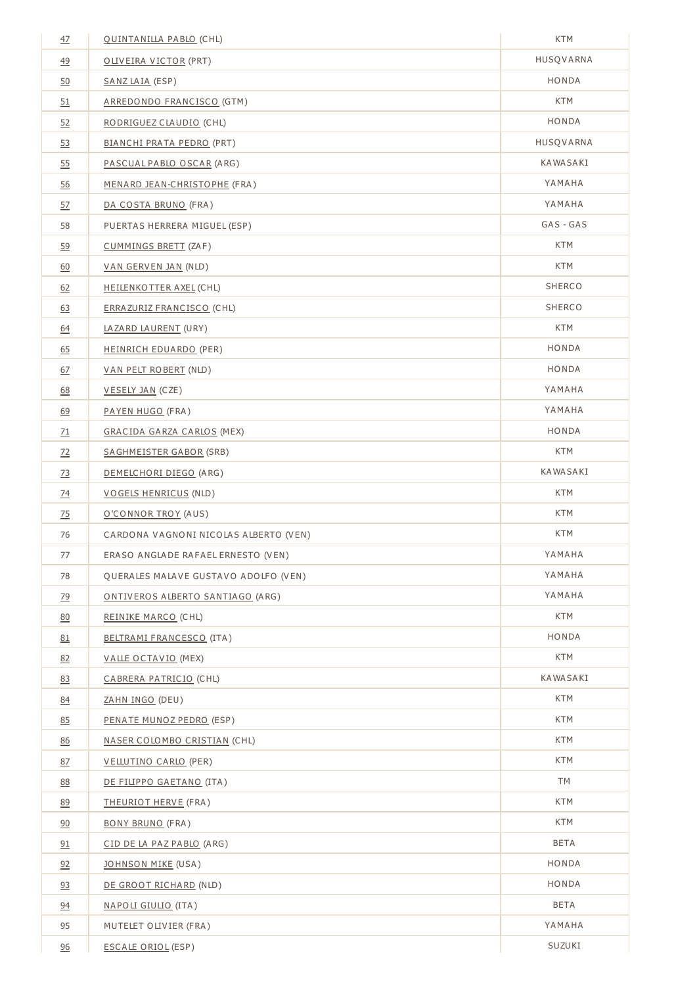| $\frac{47}{1}$  | <b>OUINTANILLA PABLO (CHL)</b>        | <b>KTM</b>  |
|-----------------|---------------------------------------|-------------|
| 49              | OLIVEIRA VICTOR (PRT)                 | HUSQVARNA   |
| 50              | SANZ LAIA (ESP)                       | HONDA       |
| 51              | ARREDONDO FRANCISCO (GTM)             | <b>KTM</b>  |
| 52              | RODRIGUEZ CLAUDIO (CHL)               | HONDA       |
| 53              | <b>BIANCHI PRATA PEDRO (PRT)</b>      | HUSQVARNA   |
| 55              | PASCUAL PABLO OSCAR (ARG)             | KAWASAKI    |
| 56              | MENARD JEAN-CHRISTOPHE (FRA)          | YAMAHA      |
| 57              | DA COSTA BRUNO (FRA)                  | YAMAHA      |
| 58              | PUERTAS HERRERA MIGUEL (ESP)          | GAS - GAS   |
| 59              | CUMMINGS BRETT (ZAF)                  | <b>KTM</b>  |
| 60              | VAN GERVEN JAN (NLD)                  | KTM         |
| 62              | <b>HEILENKOTTER AXEL (CHL)</b>        | SHERCO      |
| 63              | ERRAZURIZ FRANCISCO (CHL)             | SHERCO      |
| <u>64</u>       | LAZARD LAURENT (URY)                  | <b>KTM</b>  |
| 65              | HEINRICH EDUARDO (PER)                | HONDA       |
| 67              | <b>VAN PELT ROBERT (NLD)</b>          | HONDA       |
| <u>68</u>       | VESELY JAN (CZE)                      | YAMAHA      |
| 69              | PAYEN HUGO (FRA)                      | YAMAHA      |
| $\overline{21}$ | GRACIDA GARZA CARLOS (MEX)            | HONDA       |
| $\frac{72}{2}$  | SAGHMEISTER GABOR (SRB)               | <b>KTM</b>  |
| $\frac{73}{2}$  | DEMELCHORI DIEGO (ARG)                | KAWASAKI    |
| $\frac{74}{1}$  | <b>VOGELS HENRICUS (NLD)</b>          | <b>KTM</b>  |
| 75              | O'CONNOR TROY (AUS)                   | <b>KTM</b>  |
| 76              | CARDONA VAGNONI NICOLAS ALBERTO (VEN) | KTM         |
| 77              | ERASO ANGLADE RAFAEL ERNESTO (VEN)    | YAMAHA      |
| 78              | QUERALES MALAVE GUSTAVO ADOLFO (VEN)  | YAMAHA      |
| 79              | ONTIVEROS ALBERTO SANTIAGO (ARG)      | YAMAHA      |
| 80              | REINIKE MARCO (CHL)                   | <b>KTM</b>  |
| 81              | BELTRAMI FRANCESCO (ITA)              | HONDA       |
| 82              | VALLE OCTAVIO (MEX)                   | <b>KTM</b>  |
| 83              | CABRERA PATRICIO (CHL)                | KAWASAKI    |
| 84              | ZAHN INGO (DEU)                       | KTM         |
| 85              | PENATE MUNOZ PEDRO (ESP)              | <b>KTM</b>  |
| 86              | NASER COLOMBO CRISTIAN (CHL)          | <b>KTM</b>  |
| 87              | VELLUTINO CARLO (PER)                 | KTM         |
| 88              | DE FILIPPO GAETANO (ITA)              | TM          |
| 89              | THEURIOT HERVE (FRA)                  | <b>KTM</b>  |
| 90              | <b>BONY BRUNO (FRA)</b>               | <b>KTM</b>  |
| 91              | CID DE LA PAZ PABLO (ARG)             | BETA        |
| 92              | JOHNSON MIKE (USA)                    | HONDA       |
| 93              | DE GROOT RICHARD (NLD)                | HONDA       |
| 94              | NAPOLI GIULIO (ITA)                   | <b>BETA</b> |
| 95              | MUTELET OLIVIER (FRA)                 | YAMAHA      |
| 96              | <b>ESCALE ORIOL (ESP)</b>             | SUZUKI      |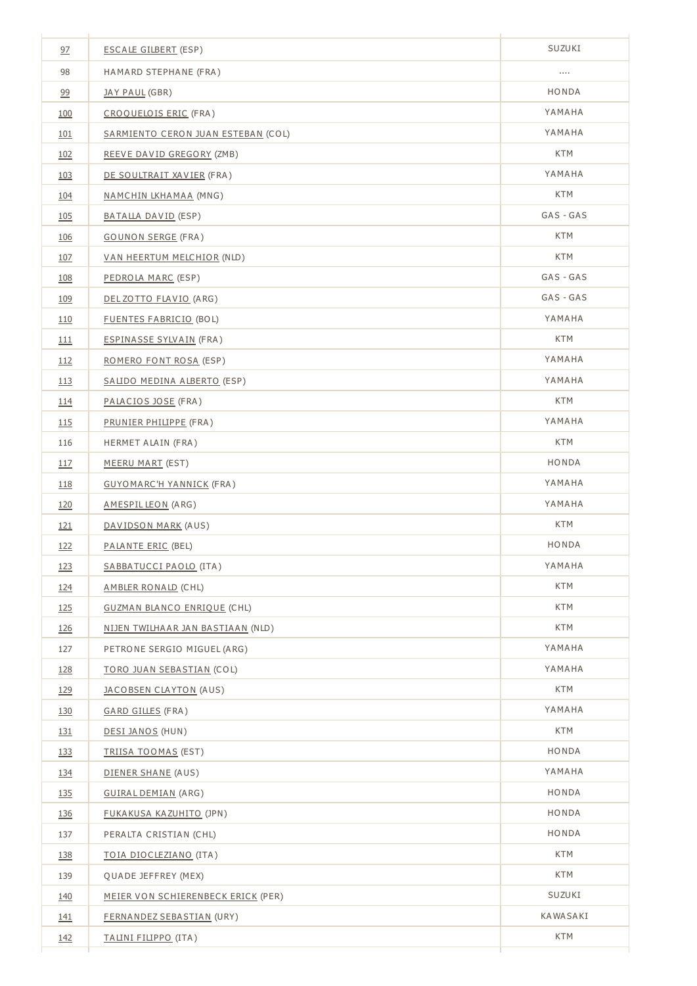| 97         | <b>ESCALE GILBERT (ESP)</b>        | SUZUKI     |
|------------|------------------------------------|------------|
| 98         | HAMARD STEPHANE (FRA)              |            |
| 99         | JAY PAUL (GBR)                     | HONDA      |
| 100        | CROQUELOIS ERIC (FRA)              | YAMAHA     |
| 101        | SARMIENTO CERON JUAN ESTEBAN (COL) | YAMAHA     |
| 102        | REEVE DAVID GREGORY (ZMB)          | KTM        |
| 103        | DE SOULTRAIT XAVIER (FRA)          | YAMAHA     |
| 104        | <u>NAMCHIN LKHAMAA</u> (MNG)       | <b>KTM</b> |
| 105        | BATALLA DAVID (ESP)                | GAS - GAS  |
| 106        | <b>GOUNON SERGE (FRA)</b>          | <b>KTM</b> |
| 107        | VAN HEERTUM MELCHIOR (NLD)         | <b>KTM</b> |
| 108        | PEDROLA MARC (ESP)                 | GAS - GAS  |
| 109        | DEL ZOTTO FLAVIO (ARG)             | GAS - GAS  |
| 110        | <b>FUENTES FABRICIO (BOL)</b>      | YAMAHA     |
| 111        | ESPINASSE SYLVAIN (FRA)            | <b>KTM</b> |
| 112        | <u>ROMERO FONT ROSA</u> (ESP)      | YAMAHA     |
| <u>113</u> | SALIDO MEDINA ALBERTO (ESP)        | YAMAHA     |
| <u>114</u> | PALACIOS JOSE (FRA)                | KTM        |
| 115        | PRUNIER PHILIPPE (FRA)             | YAMAHA     |
| 116        | HERMET ALAIN (FRA)                 | <b>KTM</b> |
| 117        | MEERU MART (EST)                   | HONDA      |
| <u>118</u> | <b>GUYOMARC'H YANNICK (FRA)</b>    | YAMAHA     |
| 120        | AMESPILLEON (ARG)                  | YAMAHA     |
| 121        | <u>DAVIDSON MARK</u> (AUS)         | <b>KTM</b> |
| 122        | PALANTE ERIC (BEL)                 | HONDA      |
| 123        | SABBATUCCI PAOLO (ITA)             | YAMAHA     |
| 124        | AMBLER RONALD (CHL)                | <b>KTM</b> |
| 125        | <b>GUZMAN BLANCO ENRIQUE (CHL)</b> | <b>KTM</b> |
| 126        | NIJEN TWILHAAR JAN BASTIAAN (NLD)  | <b>KTM</b> |
| 127        | PETRONE SERGIO MIGUEL (ARG)        | YAMAHA     |
| 128        | TORO JUAN SEBASTIAN (COL)          | YAMAHA     |
| 129        | <b>JACOBSEN CLAYTON (AUS)</b>      | <b>KTM</b> |
| 130        | GARD GILLES (FRA)                  | YAMAHA     |
| <u>131</u> | DESI JANOS (HUN)                   | <b>KTM</b> |
| 133        | TRIISA TOOMAS (EST)                | HONDA      |
| 134        | DIENER SHANE (AUS)                 | YAMAHA     |
| 135        | GUIRAL DEMIAN (ARG)                | HONDA      |
| <u>136</u> | FUKAKUSA KAZUHITO (JPN)            | HONDA      |
| 137        | PERALTA CRISTIAN (CHL)             | HONDA      |
| 138        | <u>TOIA DIOCLEZIANO</u> (ITA)      | <b>KTM</b> |
| 139        | QUADE JEFFREY (MEX)                | KTM        |
| 140        | MEIER VON SCHIERENBECK ERICK (PER) | SUZUKI     |
| <u>141</u> | FERNANDEZ SEBASTIAN (URY)          | KAWASAKI   |
| 142        | <u>TALINI FILIPPO</u> (ITA)        | <b>KTM</b> |